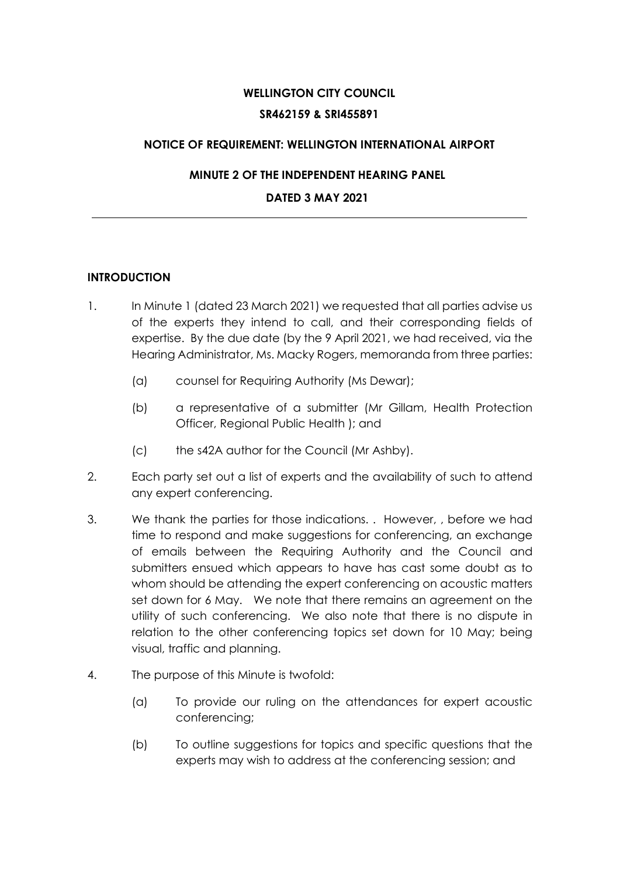# **WELLINGTON CITY COUNCIL SR462159 & SRI455891**

## **NOTICE OF REQUIREMENT: WELLINGTON INTERNATIONAL AIRPORT**

## **MINUTE 2 OF THE INDEPENDENT HEARING PANEL**

## **DATED 3 MAY 2021**

## **INTRODUCTION**

- 1. In Minute 1 (dated 23 March 2021) we requested that all parties advise us of the experts they intend to call, and their corresponding fields of expertise. By the due date (by the 9 April 2021, we had received, via the Hearing Administrator, Ms. Macky Rogers, memoranda from three parties:
	- (a) counsel for Requiring Authority (Ms Dewar);
	- (b) a representative of a submitter (Mr Gillam, Health Protection Officer, Regional Public Health ); and
	- (c) the s42A author for the Council (Mr Ashby).
- 2. Each party set out a list of experts and the availability of such to attend any expert conferencing.
- 3. We thank the parties for those indications. . However, , before we had time to respond and make suggestions for conferencing, an exchange of emails between the Requiring Authority and the Council and submitters ensued which appears to have has cast some doubt as to whom should be attending the expert conferencing on acoustic matters set down for 6 May. We note that there remains an agreement on the utility of such conferencing. We also note that there is no dispute in relation to the other conferencing topics set down for 10 May; being visual, traffic and planning.
- 4. The purpose of this Minute is twofold:
	- (a) To provide our ruling on the attendances for expert acoustic conferencing;
	- (b) To outline suggestions for topics and specific questions that the experts may wish to address at the conferencing session; and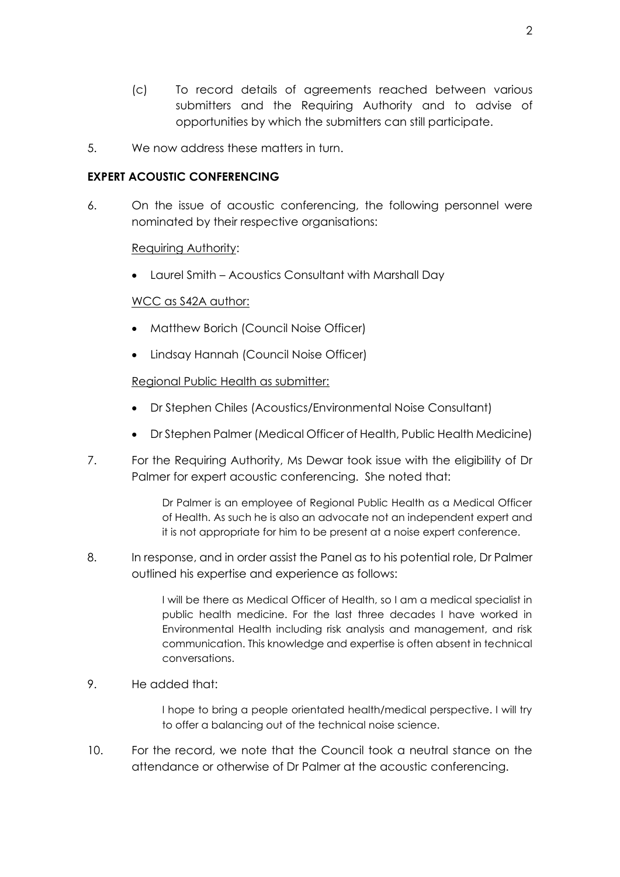- (c) To record details of agreements reached between various submitters and the Requiring Authority and to advise of opportunities by which the submitters can still participate.
- 5. We now address these matters in turn.

## **EXPERT ACOUSTIC CONFERENCING**

6. On the issue of acoustic conferencing, the following personnel were nominated by their respective organisations:

#### Requiring Authority:

• Laurel Smith – Acoustics Consultant with Marshall Day

#### WCC as S42A author:

- Matthew Borich (Council Noise Officer)
- Lindsay Hannah (Council Noise Officer)

#### Regional Public Health as submitter:

- Dr Stephen Chiles (Acoustics/Environmental Noise Consultant)
- Dr Stephen Palmer (Medical Officer of Health, Public Health Medicine)
- 7. For the Requiring Authority, Ms Dewar took issue with the eligibility of Dr Palmer for expert acoustic conferencing. She noted that:

Dr Palmer is an employee of Regional Public Health as a Medical Officer of Health. As such he is also an advocate not an independent expert and it is not appropriate for him to be present at a noise expert conference.

8. In response, and in order assist the Panel as to his potential role, Dr Palmer outlined his expertise and experience as follows:

> I will be there as Medical Officer of Health, so I am a medical specialist in public health medicine. For the last three decades I have worked in Environmental Health including risk analysis and management, and risk communication. This knowledge and expertise is often absent in technical conversations.

9. He added that:

I hope to bring a people orientated health/medical perspective. I will try to offer a balancing out of the technical noise science.

10. For the record, we note that the Council took a neutral stance on the attendance or otherwise of Dr Palmer at the acoustic conferencing.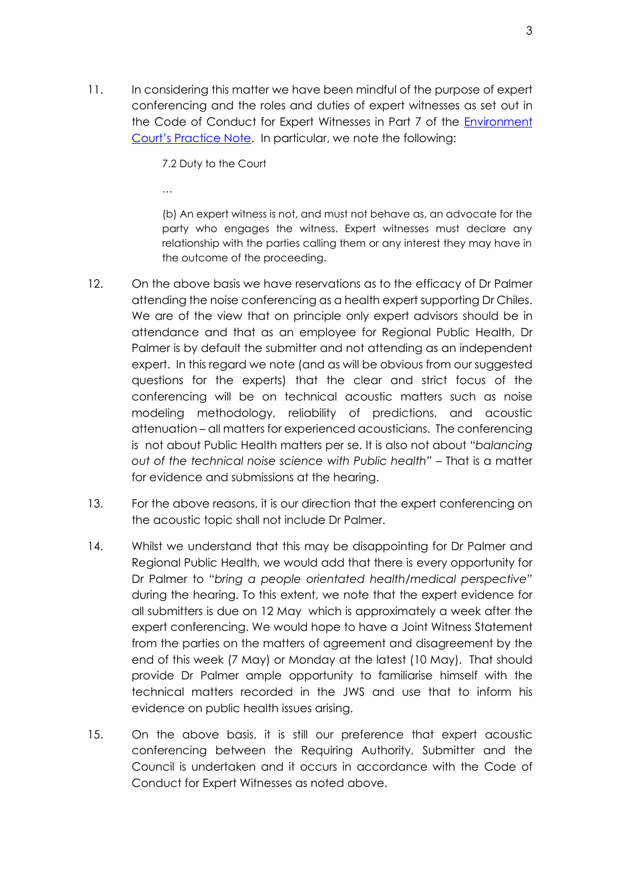11. In considering this matter we have been mindful of the purpose of expert conferencing and the roles and duties of expert witnesses as set out in the Code of Conduct for Expert Witnesses in Part 7 of the [Environment](https://www.environmentcourt.govt.nz/assets/Documents/Publications/2014-ENVC-practice-notes.pdf)  [Court's Practice Note](https://www.environmentcourt.govt.nz/assets/Documents/Publications/2014-ENVC-practice-notes.pdf). In particular, we note the following:

7.2 Duty to the Court

…

(b) An expert witness is not, and must not behave as, an advocate for the party who engages the witness. Expert witnesses must declare any relationship with the parties calling them or any interest they may have in the outcome of the proceeding.

- 12. On the above basis we have reservations as to the efficacy of Dr Palmer attending the noise conferencing as a health expert supporting Dr Chiles. We are of the view that on principle only expert advisors should be in attendance and that as an employee for Regional Public Health, Dr Palmer is by default the submitter and not attending as an independent expert. In this regard we note (and as will be obvious from our suggested questions for the experts) that the clear and strict focus of the conferencing will be on technical acoustic matters such as noise modeling methodology, reliability of predictions, and acoustic attenuation – all matters for experienced acousticians. The conferencing is not about Public Health matters per se. It is also not about "*balancing out of the technical noise science with Public health"* – That is a matter for evidence and submissions at the hearing.
- 13. For the above reasons, it is our direction that the expert conferencing on the acoustic topic shall not include Dr Palmer.
- 14. Whilst we understand that this may be disappointing for Dr Palmer and Regional Public Health, we would add that there is every opportunity for Dr Palmer to "*bring a people orientated health/medical perspective"* during the hearing. To this extent, we note that the expert evidence for all submitters is due on 12 May which is approximately a week after the expert conferencing. We would hope to have a Joint Witness Statement from the parties on the matters of agreement and disagreement by the end of this week (7 May) or Monday at the latest (10 May). That should provide Dr Palmer ample opportunity to familiarise himself with the technical matters recorded in the JWS and use that to inform his evidence on public health issues arising.
- 15. On the above basis, it is still our preference that expert acoustic conferencing between the Requiring Authority, Submitter and the Council is undertaken and it occurs in accordance with the Code of Conduct for Expert Witnesses as noted above.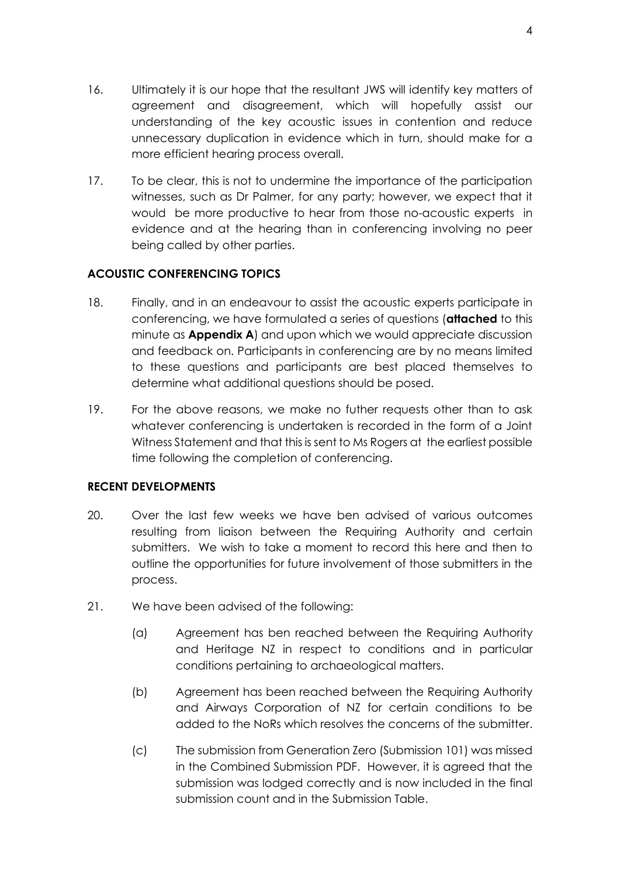- 16. Ultimately it is our hope that the resultant JWS will identify key matters of agreement and disagreement, which will hopefully assist our understanding of the key acoustic issues in contention and reduce unnecessary duplication in evidence which in turn, should make for a more efficient hearing process overall.
- 17. To be clear, this is not to undermine the importance of the participation witnesses, such as Dr Palmer, for any party; however, we expect that it would be more productive to hear from those no-acoustic experts in evidence and at the hearing than in conferencing involving no peer being called by other parties.

## **ACOUSTIC CONFERENCING TOPICS**

- 18. Finally, and in an endeavour to assist the acoustic experts participate in conferencing, we have formulated a series of questions (**attached** to this minute as **Appendix A**) and upon which we would appreciate discussion and feedback on. Participants in conferencing are by no means limited to these questions and participants are best placed themselves to determine what additional questions should be posed.
- 19. For the above reasons, we make no futher requests other than to ask whatever conferencing is undertaken is recorded in the form of a Joint Witness Statement and that this is sent to Ms Rogers at the earliest possible time following the completion of conferencing.

## **RECENT DEVELOPMENTS**

- 20. Over the last few weeks we have ben advised of various outcomes resulting from liaison between the Requiring Authority and certain submitters. We wish to take a moment to record this here and then to outline the opportunities for future involvement of those submitters in the process.
- 21. We have been advised of the following:
	- (a) Agreement has ben reached between the Requiring Authority and Heritage NZ in respect to conditions and in particular conditions pertaining to archaeological matters.
	- (b) Agreement has been reached between the Requiring Authority and Airways Corporation of NZ for certain conditions to be added to the NoRs which resolves the concerns of the submitter.
	- (c) The submission from Generation Zero (Submission 101) was missed in the Combined Submission PDF. However, it is agreed that the submission was lodged correctly and is now included in the final submission count and in the Submission Table.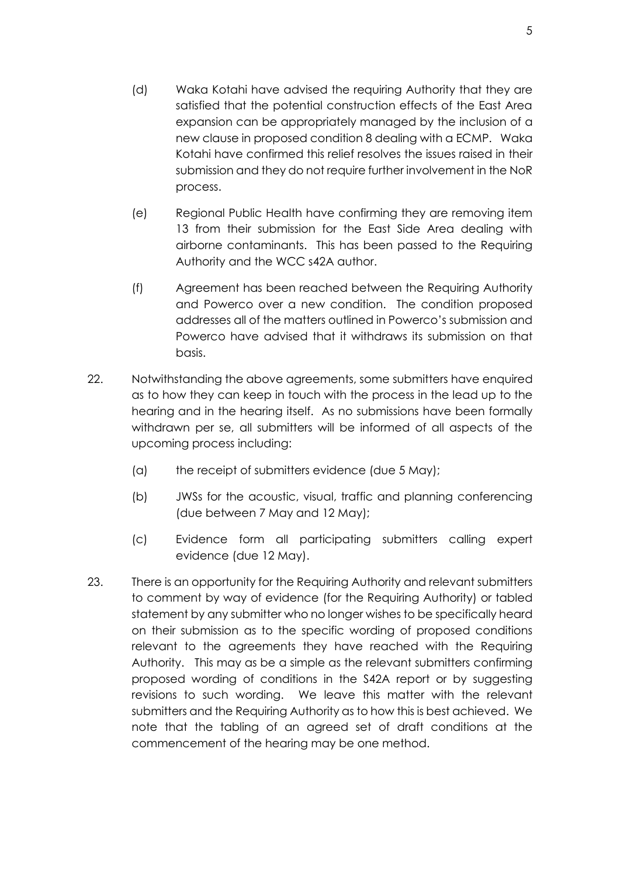- (d) Waka Kotahi have advised the requiring Authority that they are satisfied that the potential construction effects of the East Area expansion can be appropriately managed by the inclusion of a new clause in proposed condition 8 dealing with a ECMP. Waka Kotahi have confirmed this relief resolves the issues raised in their submission and they do not require further involvement in the NoR process.
- (e) Regional Public Health have confirming they are removing item 13 from their submission for the East Side Area dealing with airborne contaminants. This has been passed to the Requiring Authority and the WCC s42A author.
- (f) Agreement has been reached between the Requiring Authority and Powerco over a new condition. The condition proposed addresses all of the matters outlined in Powerco's submission and Powerco have advised that it withdraws its submission on that basis.
- 22. Notwithstanding the above agreements, some submitters have enquired as to how they can keep in touch with the process in the lead up to the hearing and in the hearing itself. As no submissions have been formally withdrawn per se, all submitters will be informed of all aspects of the upcoming process including:
	- (a) the receipt of submitters evidence (due 5 May);
	- (b) JWSs for the acoustic, visual, traffic and planning conferencing (due between 7 May and 12 May);
	- (c) Evidence form all participating submitters calling expert evidence (due 12 May).
- 23. There is an opportunity for the Requiring Authority and relevant submitters to comment by way of evidence (for the Requiring Authority) or tabled statement by any submitter who no longer wishes to be specifically heard on their submission as to the specific wording of proposed conditions relevant to the agreements they have reached with the Requiring Authority. This may as be a simple as the relevant submitters confirming proposed wording of conditions in the S42A report or by suggesting revisions to such wording. We leave this matter with the relevant submitters and the Requiring Authority as to how this is best achieved. We note that the tabling of an agreed set of draft conditions at the commencement of the hearing may be one method.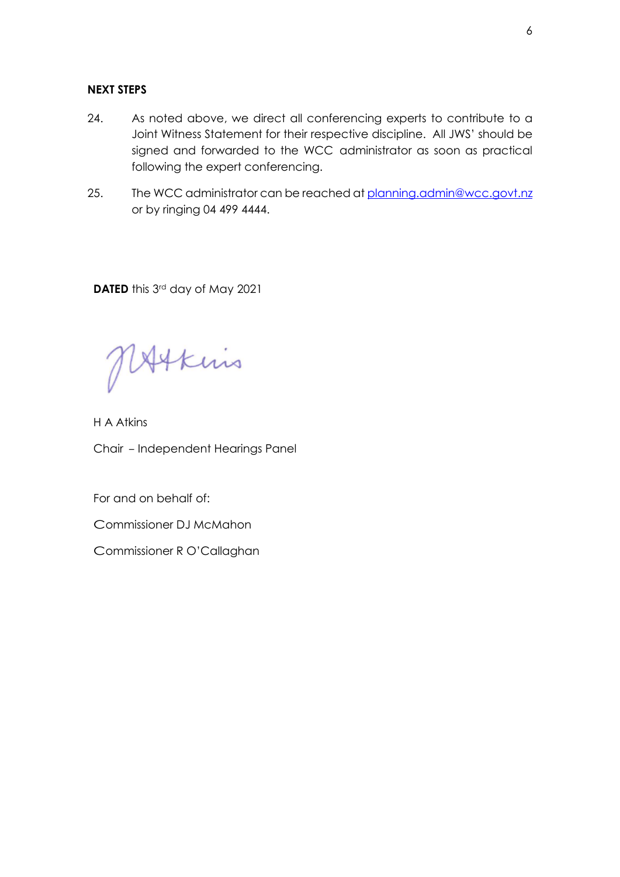#### **NEXT STEPS**

- 24. As noted above, we direct all conferencing experts to contribute to a Joint Witness Statement for their respective discipline. All JWS' should be signed and forwarded to the WCC administrator as soon as practical following the expert conferencing.
- 25. The WCC administrator can be reached at [planning.admin@wcc.govt.nz](mailto:planning.admin@wcc.govt.nz) or by ringing 04 499 4444.

**DATED** this 3rd day of May 2021

MAtkins

H A Atkins Chair - Independent Hearings Panel

For and on behalf of:

Commissioner DJ McMahon

Commissioner R O'Callaghan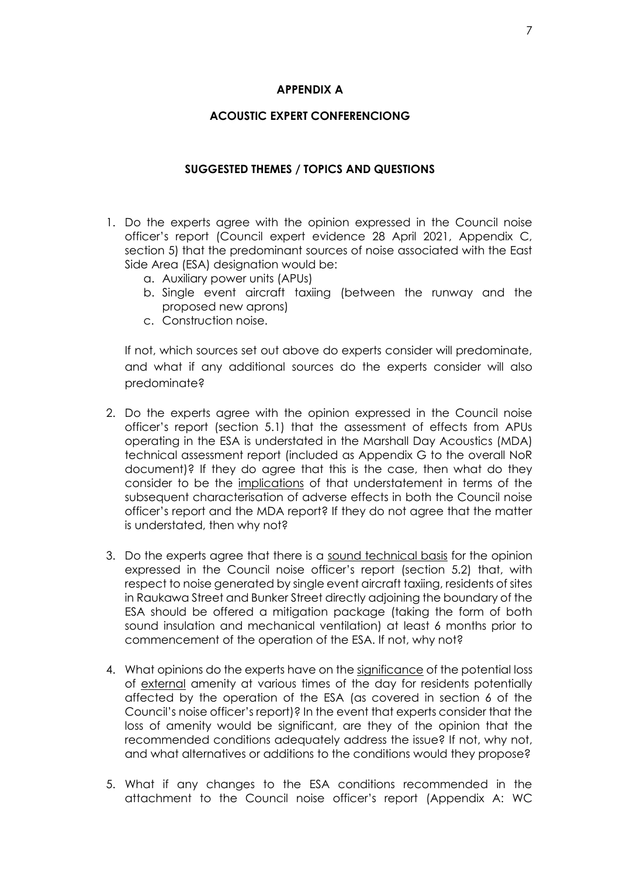#### **APPENDIX A**

## **ACOUSTIC EXPERT CONFERENCIONG**

#### **SUGGESTED THEMES / TOPICS AND QUESTIONS**

- 1. Do the experts agree with the opinion expressed in the Council noise officer's report (Council expert evidence 28 April 2021, Appendix C, section 5) that the predominant sources of noise associated with the East Side Area (ESA) designation would be:
	- a. Auxiliary power units (APUs)
	- b. Single event aircraft taxiing (between the runway and the proposed new aprons)
	- c. Construction noise.

If not, which sources set out above do experts consider will predominate, and what if any additional sources do the experts consider will also predominate?

- 2. Do the experts agree with the opinion expressed in the Council noise officer's report (section 5.1) that the assessment of effects from APUs operating in the ESA is understated in the Marshall Day Acoustics (MDA) technical assessment report (included as Appendix G to the overall NoR document)? If they do agree that this is the case, then what do they consider to be the implications of that understatement in terms of the subsequent characterisation of adverse effects in both the Council noise officer's report and the MDA report? If they do not agree that the matter is understated, then why not?
- 3. Do the experts agree that there is a sound technical basis for the opinion expressed in the Council noise officer's report (section 5.2) that, with respect to noise generated by single event aircraft taxiing, residents of sites in Raukawa Street and Bunker Street directly adjoining the boundary of the ESA should be offered a mitigation package (taking the form of both sound insulation and mechanical ventilation) at least 6 months prior to commencement of the operation of the ESA. If not, why not?
- 4. What opinions do the experts have on the significance of the potential loss of external amenity at various times of the day for residents potentially affected by the operation of the ESA (as covered in section 6 of the Council's noise officer's report)? In the event that experts consider that the loss of amenity would be significant, are they of the opinion that the recommended conditions adequately address the issue? If not, why not, and what alternatives or additions to the conditions would they propose?
- 5. What if any changes to the ESA conditions recommended in the attachment to the Council noise officer's report (Appendix A: WC